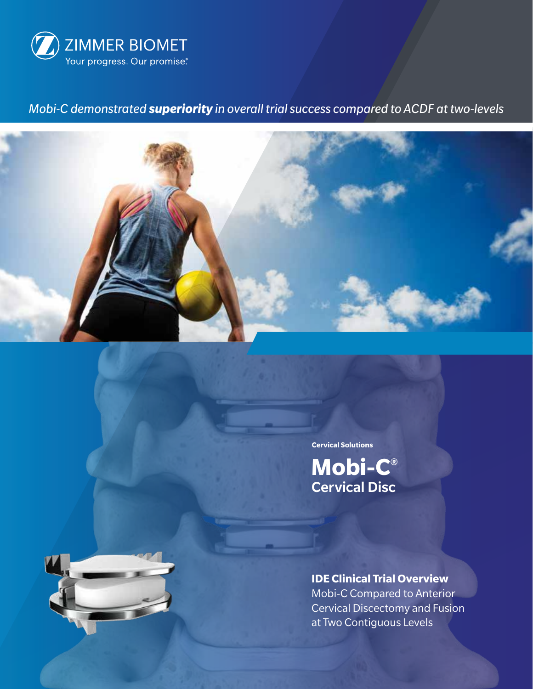

# *Mobi-C demonstrated superiority in overall trial success compared to ACDF at two-levels*



**Cervical Solutions**

**Mobi-C®** Cervical Disc



**IDE Clinical Trial Overview** Mobi-C Compared to Anterior Cervical Discectomy and Fusion at Two Contiguous Levels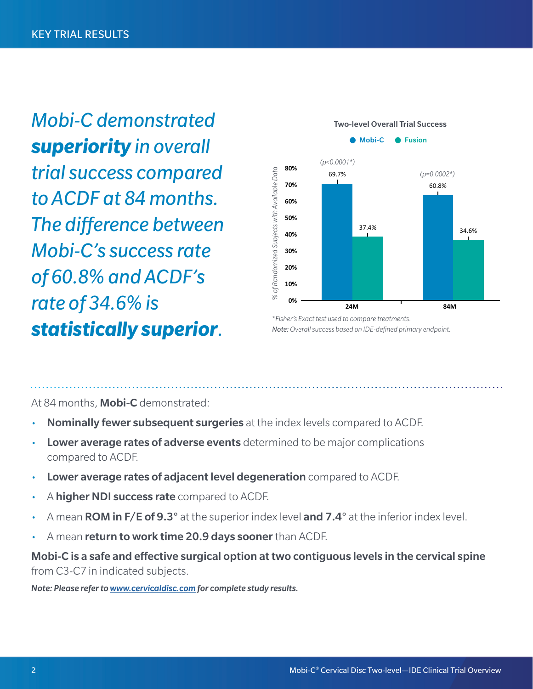*Mobi-C demonstrated superiority in overall trial success compared to ACDF at 84 months. The difference between Mobi-C's success rate of 60.8% and ACDF's rate of 34.6% is statistically superior.* Note: Overall success based on IDE-defined primary endpoint.



At 84 months, **Mobi-C** demonstrated:

- **Nominally fewer subsequent surgeries** at the index levels compared to ACDF.
- **Lower average rates of adverse events** determined to be major complications compared to ACDF.
- Lower average rates of adjacent level degeneration compared to ACDF.
- A higher NDI success rate compared to ACDF.
- A mean **ROM in F/E of 9.3°** at the superior index level **and 7.4°** at the inferior index level.
- A mean return to work time 20.9 days sooner than ACDF.

Mobi-C is a safe and effective surgical option at two contiguous levels in the cervical spine from C3-C7 in indicated subjects.

*Note: Please refer to www.cervicaldisc.com for complete study results.*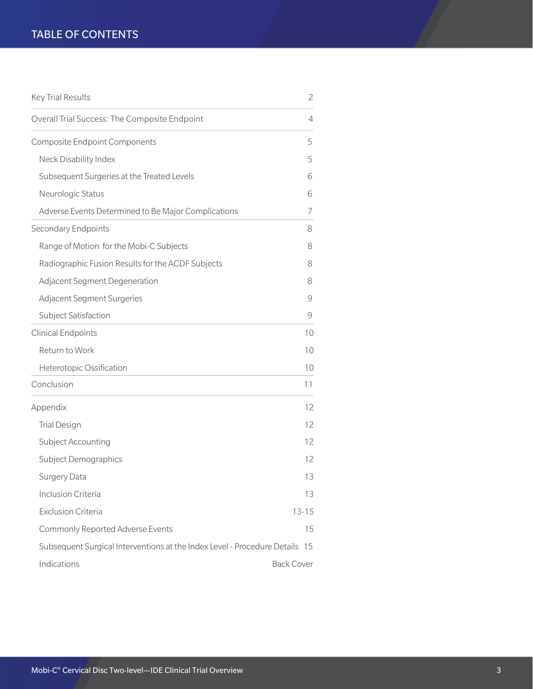## TABLE OF CONTENTS

| <b>Key Trial Results</b>                                                    | $\overline{2}$    |
|-----------------------------------------------------------------------------|-------------------|
| Overall Trial Success: The Composite Endpoint                               | 4                 |
| <b>Composite Endpoint Components</b>                                        | 5                 |
| Neck Disability Index                                                       | 5                 |
| Subsequent Surgeries at the Treated Levels                                  | 6                 |
| Neurologic Status                                                           | 6                 |
| Adverse Events Determined to Be Major Complications                         | 7                 |
| Secondary Endpoints                                                         | 8                 |
| Range of Motion for the Mobi-C Subjects                                     | 8                 |
| Radiographic Fusion Results for the ACDF Subjects                           | 8                 |
| Adjacent Segment Degeneration                                               | 8                 |
| <b>Adjacent Segment Surgeries</b>                                           | 9                 |
| Subject Satisfaction                                                        | 9                 |
| <b>Clinical Endpoints</b>                                                   | 10                |
| Return to Work                                                              | 10                |
| Heterotopic Ossification                                                    | 10                |
| Conclusion                                                                  | 11                |
| Appendix                                                                    | 12                |
| <b>Trial Design</b>                                                         | 12                |
| Subject Accounting                                                          | 12                |
| Subject Demographics                                                        | 12                |
| Surgery Data                                                                | 13                |
| Inclusion Criteria                                                          | 13                |
| <b>Exclusion Criteria</b>                                                   | $13 - 15$         |
| Commonly Reported Adverse Events                                            | 15                |
| Subsequent Surgical Interventions at the Index Level - Procedure Details 15 |                   |
| Indications                                                                 | <b>Back Cover</b> |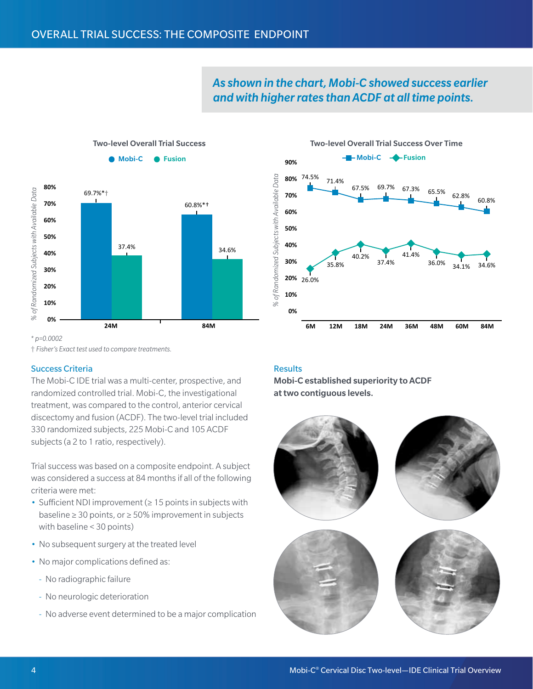

## *As shown in the chart, Mobi-C showed success earlier and with higher rates than ACDF at all time points.*



#### *\* p=0.0002*

† *Fisher's Exact test used to compare treatments.*

## Success Criteria

The Mobi-C IDE trial was a multi-center, prospective, and randomized controlled trial. Mobi-C, the investigational treatment, was compared to the control, anterior cervical discectomy and fusion (ACDF). The two-level trial included 330 randomized subjects, 225 Mobi-C and 105 ACDF subjects (a 2 to 1 ratio, respectively).

Trial success was based on a composite endpoint. A subject was considered a success at 84 months if all of the following criteria were met:

- Sufficient NDI improvement (≥ 15 points in subjects with baseline ≥ 30 points, or ≥ 50% improvement in subjects with baseline < 30 points)
- No subsequent surgery at the treated level
- No major complications defined as:
	- No radiographic failure
	- No neurologic deterioration
	- --   No adverse event determined to be a major complication

## **Results**

Mobi-C established superiority to ACDF at two contiguous levels.

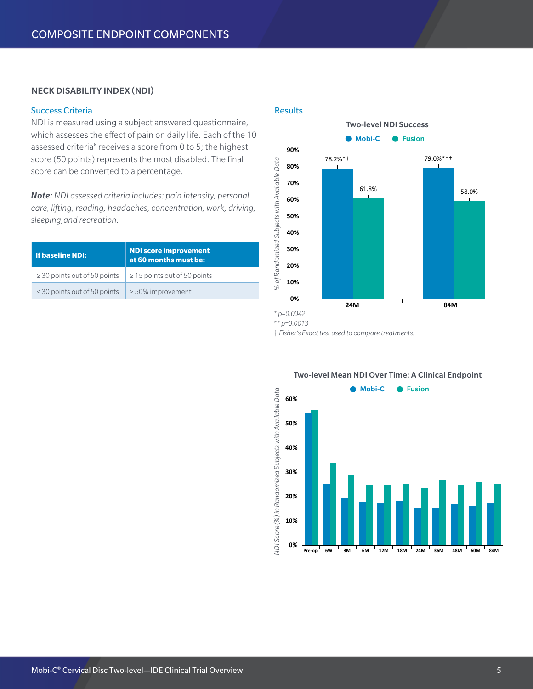## NECK DISABILITY INDEX (NDI)

## Success Criteria

NDI is measured using a subject answered questionnaire, which assesses the effect of pain on daily life. Each of the 10 assessed criteria<sup>§</sup> receives a score from 0 to 5; the highest score (50 points) represents the most disabled. The final score can be converted to a percentage.

*Note: NDI assessed criteria includes: pain intensity, personal care, lifting, reading, headaches, concentration, work, driving, sleeping,and recreation.*

| l If baseline NDI:                | <b>NDI score improvement</b><br>at 60 months must be: |
|-----------------------------------|-------------------------------------------------------|
| $\geq$ 30 points out of 50 points | $\geq$ 15 points out of 50 points                     |
| < 30 points out of 50 points      | $\geq$ 50% improvement                                |

#### **Results**



*\*\* p=0.0013*

† *Fisher's Exact test used to compare treatments.*



#### Two-level Mean NDI Over Time: A Clinical Endpoint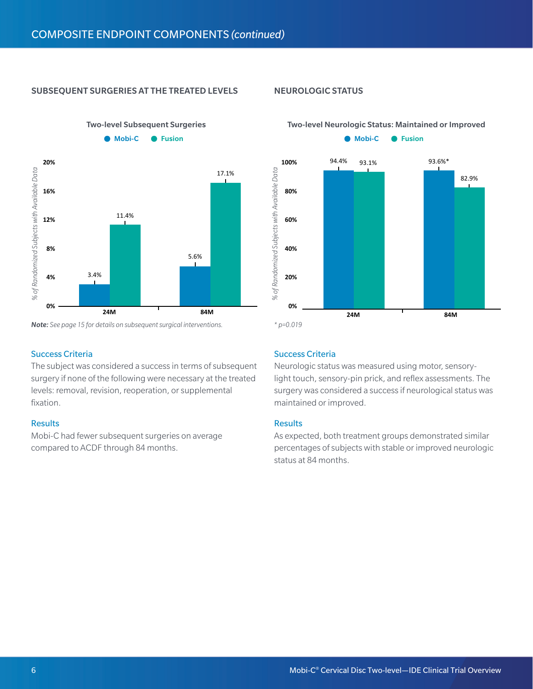## SUBSEQUENT SURGERIES AT THE TREATED LEVELS

Two-level Subsequent Surgeries



*Note: See page 15 for details on subsequent surgical interventions. \* p=0.019*

## Success Criteria

The subject was considered a success in terms of subsequent surgery if none of the following were necessary at the treated levels: removal, revision, reoperation, or supplemental fixation.

## Results

Mobi-C had fewer subsequent surgeries on average compared to ACDF through 84 months.

## NEUROLOGIC STATUS

## Two-level Neurologic Status: Maintained or Improved



## Success Criteria

Neurologic status was measured using motor, sensorylight touch, sensory-pin prick, and reflex assessments. The surgery was considered a success if neurological status was maintained or improved.

#### **Results**

As expected, both treatment groups demonstrated similar percentages of subjects with stable or improved neurologic status at 84 months.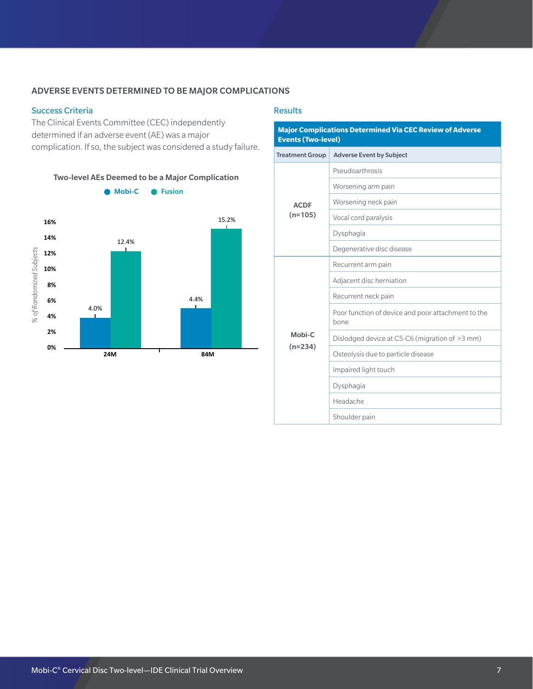## ADVERSE EVENTS DETERMINED TO BE MAJOR COMPLICATIONS

## Success Criteria

The Clinical Events Committee (CEC) independently determined if an adverse event (AE) was a major complication. If so, the subject was considered a study failure.



#### **Results**

# **Major Complications Determined Via CEC Review of Adverse Events (Two-level)** Treatment Group Adverse Event by Subject

|             | Pseudoarthrosis                                            |
|-------------|------------------------------------------------------------|
|             | Worsening arm pain                                         |
| <b>ACDF</b> | Worsening neck pain                                        |
| $(n=105)$   | Vocal cord paralysis                                       |
|             | Dysphagia                                                  |
|             | Degenerative disc disease                                  |
|             | Recurrent arm pain                                         |
|             | Adjacent disc herniation                                   |
|             | Recurrent neck pain                                        |
|             | Poor function of device and poor attachment to the<br>bone |
| Mobi-C      | Dislodged device at C5-C6 (migration of >3 mm)             |
| $(n=234)$   | Osteolysis due to particle disease                         |
|             | Impaired light touch                                       |
|             | Dysphagia                                                  |
|             | Headache                                                   |
|             | Shoulder pain                                              |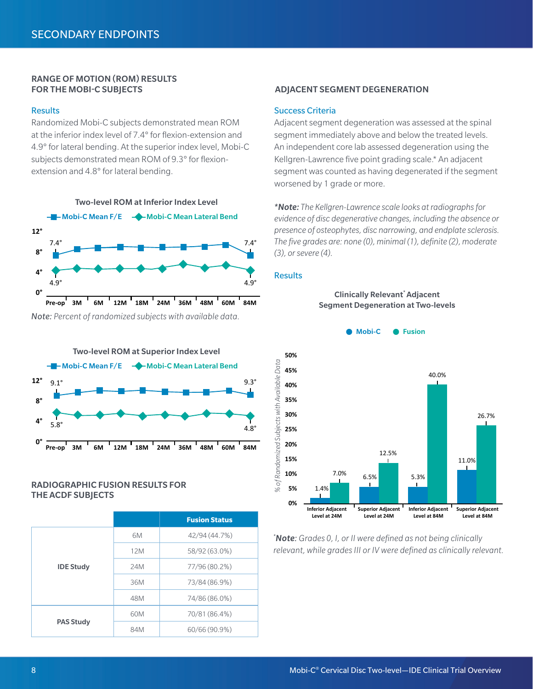# RANGE OF MOTION (ROM) RESULTS

#### **Results**

Randomized Mobi-C subjects demonstrated mean ROM at the inferior index level of 7.4° for flexion-extension and 4.9° for lateral bending. At the superior index level, Mobi-C subjects demonstrated mean ROM of 9.3° for flexionextension and 4.8° for lateral bending.



*Note: Percent of randomized subjects with available data.*



## RADIOGRAPHIC FUSION RESULTS FOR THE ACDF SUBJECTS

|                  |     | <b>Fusion Status</b> |
|------------------|-----|----------------------|
|                  | 6M  | 42/94 (44.7%)        |
|                  | 12M | 58/92 (63.0%)        |
| <b>IDE Study</b> | 24M | 77/96 (80.2%)        |
|                  | 36M | 73/84 (86.9%)        |
|                  | 48M | 74/86 (86.0%)        |
| <b>PAS Study</b> | 60M | 70/81 (86.4%)        |
|                  | 84M | 60/66 (90.9%)        |

## FOR THE MOBI-C SUBJECTS ADJACENT SEGMENT DEGENERATION

#### Success Criteria

Adjacent segment degeneration was assessed at the spinal segment immediately above and below the treated levels. An independent core lab assessed degeneration using the Kellgren-Lawrence five point grading scale.\* An adjacent segment was counted as having degenerated if the segment worsened by 1 grade or more.

*\*Note: The Kellgren-Lawrence scale looks at radiographs for evidence of disc degenerative changes, including the absence or presence of osteophytes, disc narrowing, and endplate sclerosis. The five grades are: none (0), minimal (1), definite (2), moderate (3), or severe (4).*

#### **Results**



*\* Note: Grades 0, I, or II were defined as not being clinically relevant, while grades III or IV were defined as clinically relevant.* 

Clinically Relevant\* Adjacent Segment Degeneration at Two-levels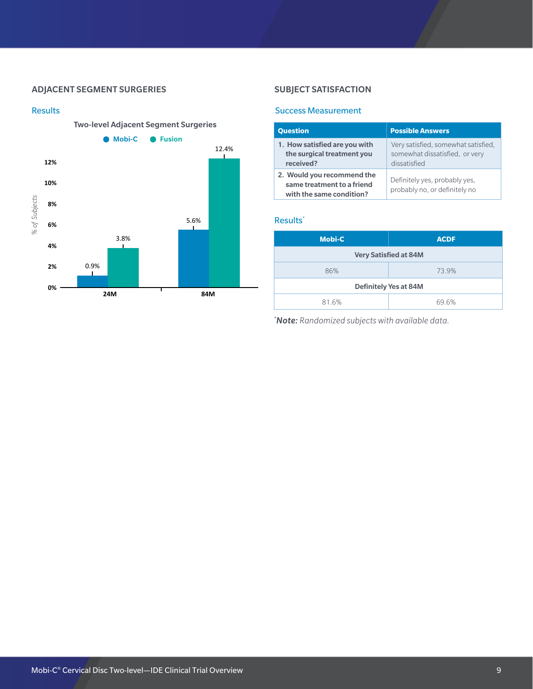## ADJACENT SEGMENT SURGERIES



## SUBJECT SATISFACTION

## Success Measurement

| <b>Question</b>                                                                      | <b>Possible Answers</b>                                                               |
|--------------------------------------------------------------------------------------|---------------------------------------------------------------------------------------|
| 1. How satisfied are you with<br>the surgical treatment you<br>received?             | Very satisfied, somewhat satisfied,<br>somewhat dissatisfied, or very<br>dissatisfied |
| 2. Would you recommend the<br>same treatment to a friend<br>with the same condition? | Definitely yes, probably yes,<br>probably no, or definitely no                        |

## Results\*

| <b>Mobi-C</b>         | <b>ACDF</b>                  |  |
|-----------------------|------------------------------|--|
|                       | <b>Very Satisfied at 84M</b> |  |
| 86%                   | 73.9%                        |  |
| Definitely Yes at 84M |                              |  |
| 81.6%                 | 69.6%                        |  |

*\* Note: Randomized subjects with available data.*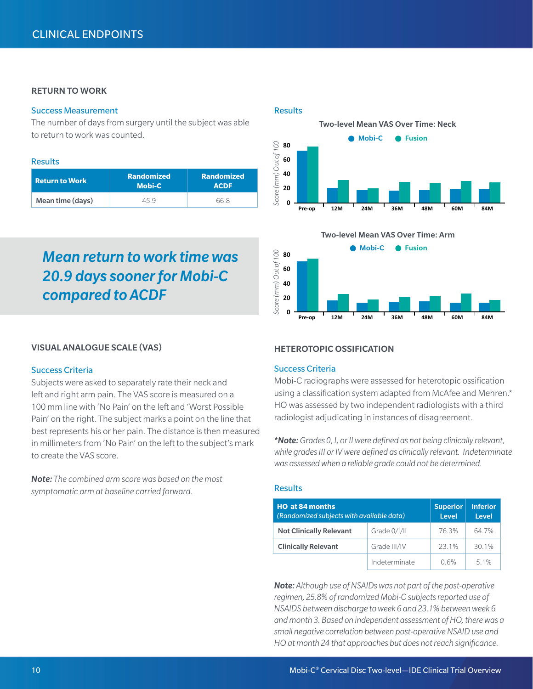## RETURN TO WORK

## Success Measurement

The number of days from surgery until the subject was able to return to work was counted.

#### Results

| <b>Return to Work</b> | <b>Randomized</b><br><b>Mobi-C</b> | <b>Randomized</b><br><b>ACDF</b> |  |
|-----------------------|------------------------------------|----------------------------------|--|
| Mean time (days)      | 45 9                               | 66 8                             |  |

# *Mean return to work time was 20.9 days sooner for Mobi-C compared to ACDF*

#### VISUAL ANALOGUE SCALE (VAS)

#### Success Criteria

Subjects were asked to separately rate their neck and left and right arm pain. The VAS score is measured on a 100 mm line with 'No Pain' on the left and 'Worst Possible Pain' on the right. The subject marks a point on the line that best represents his or her pain. The distance is then measured in millimeters from 'No Pain' on the left to the subject's mark to create the VAS score.

*Note: The combined arm score was based on the most symptomatic arm at baseline carried forward.*

#### **Results**





## HETEROTOPIC OSSIFICATION

## Success Criteria

Mobi-C radiographs were assessed for heterotopic ossification using a classification system adapted from McAfee and Mehren.\* HO was assessed by two independent radiologists with a third radiologist adjudicating in instances of disagreement.

*\*Note: Grades 0, I, or II were defined as not being clinically relevant, while grades III or IV were defined as clinically relevant. Indeterminate was assessed when a reliable grade could not be determined.* 

## Results

| <b>HO at 84 months</b><br>(Randomized subjects with available data) |               | <b>Superior</b><br><b>Level</b> | <b>Inferior</b><br>Level |
|---------------------------------------------------------------------|---------------|---------------------------------|--------------------------|
| <b>Not Clinically Relevant</b>                                      | Grade 0/1/11  | 76.3%                           | 64 7%                    |
| <b>Clinically Relevant</b>                                          | Grade III/IV  | 23 1%                           | 301%                     |
|                                                                     | Indeterminate | 0.6%                            | 51%                      |

*Note: Although use of NSAIDs was not part of the post-operative regimen, 25.8% of randomized Mobi-C subjects reported use of NSAIDS between discharge to week 6 and 23.1% between week 6 and month 3. Based on independent assessment of HO, there was a small negative correlation between post-operative NSAID use and HO at month 24 that approaches but does not reach significance.*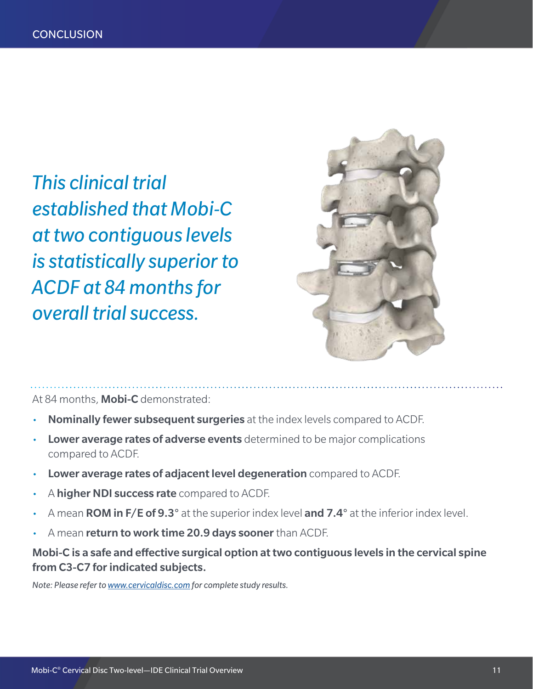*This clinical trial established that Mobi-C at two contiguous levels is statistically superior to ACDF at 84 months for overall trial success.* 



At 84 months, **Mobi-C** demonstrated:

- Nominally fewer subsequent surgeries at the index levels compared to ACDF.
- Lower average rates of adverse events determined to be major complications compared to ACDF.
- **Lower average rates of adjacent level degeneration** compared to ACDF.
- A higher NDI success rate compared to ACDF.
- A mean **ROM in F/E of 9.3°** at the superior index level **and 7.4°** at the inferior index level.
- A mean return to work time 20.9 days sooner than ACDF.

Mobi-C is a safe and effective surgical option at two contiguous levels in the cervical spine from C3-C7 for indicated subjects.

*Note: Please refer to www.cervicaldisc.com for complete study results.*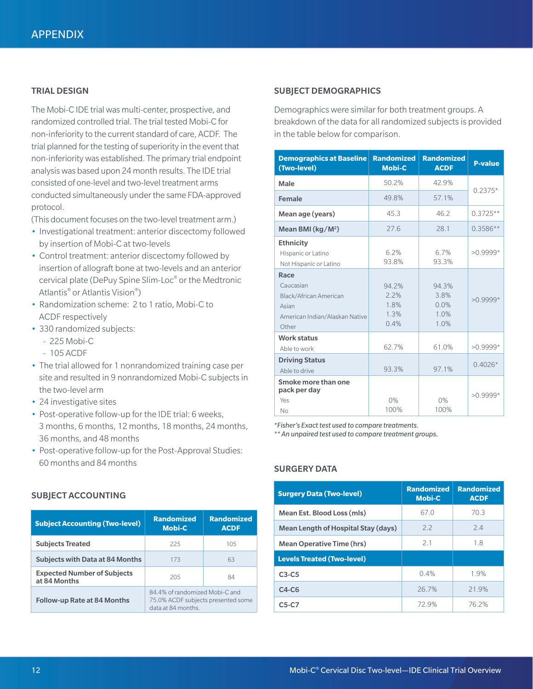## TRIAL DESIGN

The Mobi-C IDE trial was multi-center, prospective, and randomized controlled trial. The trial tested Mobi-C for non-inferiority to the current standard of care, ACDF. The trial planned for the testing of superiority in the event that non-inferiority was established. The primary trial endpoint analysis was based upon 24 month results. The IDE trial consisted of one-level and two-level treatment arms conducted simultaneously under the same FDA-approved protocol.

(This document focuses on the two-level treatment arm.)

- Investigational treatment: anterior discectomy followed by insertion of Mobi-C at two-levels
- Control treatment: anterior discectomy followed by insertion of allograft bone at two-levels and an anterior cervical plate (DePuy Spine Slim-Loc® or the Medtronic Atlantis® or Atlantis Vision®)
- Randomization scheme: 2 to 1 ratio, Mobi-C to ACDF respectively
- 330 randomized subjects:
	- --   225 Mobi-C
	- --   105 ACDF
- The trial allowed for 1 nonrandomized training case per site and resulted in 9 nonrandomized Mobi-C subjects in the two-level arm
- 24 investigative sites
- Post-operative follow-up for the IDE trial: 6 weeks, 3 months, 6 months, 12 months, 18 months, 24 months, 36 months, and 48 months
- Post-operative follow-up for the Post-Approval Studies: 60 months and 84 months

## SUBJECT ACCOUNTING

| <b>Subject Accounting (Two-level)</b>              | <b>Randomized</b><br><b>Mobi-C</b>                                                         | <b>Randomized</b><br><b>ACDF</b> |
|----------------------------------------------------|--------------------------------------------------------------------------------------------|----------------------------------|
| <b>Subjects Treated</b>                            | 225                                                                                        | 105                              |
| <b>Subjects with Data at 84 Months</b>             | 173                                                                                        | 63                               |
| <b>Expected Number of Subjects</b><br>at 84 Months | 205                                                                                        | 84                               |
| <b>Follow-up Rate at 84 Months</b>                 | 84.4% of randomized Mobi-C and<br>75.0% ACDF subjects presented some<br>data at 84 months. |                                  |

## SUBJECT DEMOGRAPHICS

Demographics were similar for both treatment groups. A breakdown of the data for all randomized subjects is provided in the table below for comparison.

| <b>Demographics at Baseline</b><br>(Two-level)                                                  | <b>Randomized</b><br><b>Mobi-C</b>    | <b>Randomized</b><br><b>ACDF</b>         | <b>P-value</b> |
|-------------------------------------------------------------------------------------------------|---------------------------------------|------------------------------------------|----------------|
| Male                                                                                            | 50.2%                                 | 42.9%                                    |                |
| Female                                                                                          | 49.8%                                 | 57.1%                                    | $0.2375*$      |
| Mean age (years)                                                                                | 45.3                                  | 46.2                                     | $0.3725**$     |
| Mean BMI ( $kg/M2$ )                                                                            | 27.6                                  | 28.1                                     | $0.3586**$     |
| <b>Ethnicity</b><br>Hispanic or Latino<br>Not Hispanic or Latino                                | 6.2%<br>93.8%                         | 6.7%<br>93.3%                            | $>0.9999*$     |
| Race<br>Caucasian<br>Black/African American<br>Asian<br>American Indian/Alaskan Native<br>Other | 94 2%<br>2.2%<br>1.8%<br>1.3%<br>0.4% | 94.3%<br>3.8%<br>$0.0\%$<br>1.0%<br>1.0% | $>0.9999*$     |
| <b>Work status</b><br>Able to work                                                              | 62.7%                                 | 61.0%                                    | $>0.9999*$     |
| <b>Driving Status</b><br>Able to drive                                                          | 93.3%                                 | 97.1%                                    | $0.4026*$      |
| Smoke more than one<br>pack per day<br>Yes<br>No                                                | 0%<br>100%                            | 0%<br>100%                               | $>0.9999*$     |

*\*Fisher's Exact test used to compare treatments.* 

*\*\* An unpaired test used to compare treatment groups.*

#### SURGERY DATA

| <b>Surgery Data (Two-level)</b>     | <b>Randomized</b><br><b>Mobi-C</b> | <b>Randomized</b><br><b>ACDF</b> |
|-------------------------------------|------------------------------------|----------------------------------|
| Mean Est. Blood Loss (mls)          | 67.0                               | 70.3                             |
| Mean Length of Hospital Stay (days) | 22                                 | 24                               |
| <b>Mean Operative Time (hrs)</b>    | 2.1                                | 1.8                              |
| <b>Levels Treated (Two-level)</b>   |                                    |                                  |
| $C3-C5$                             | 0.4%                               | 1.9%                             |
| $C4-C6$                             | 26.7%                              | 219%                             |
| $C5-C7$                             | 729%                               | 76.2%                            |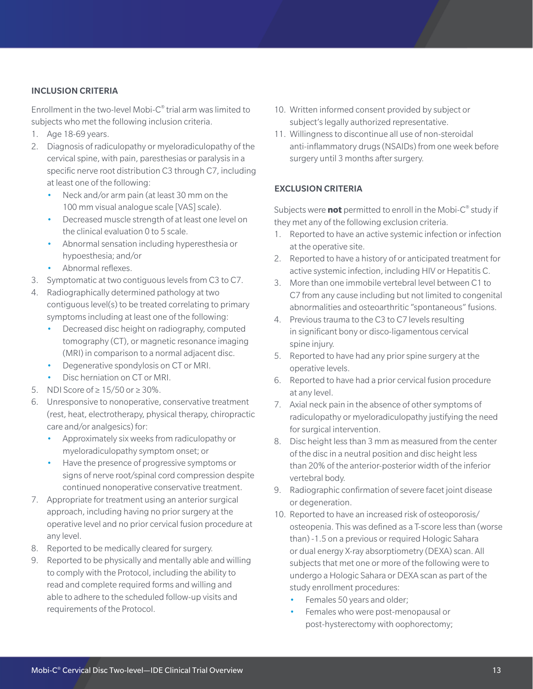## INCLUSION CRITERIA

Enrollment in the two-level Mobi- $C^{\circ}$  trial arm was limited to subjects who met the following inclusion criteria.

- 1. Age 18-69 years.
- 2. Diagnosis of radiculopathy or myeloradiculopathy of the cervical spine, with pain, paresthesias or paralysis in a specific nerve root distribution C3 through C7, including at least one of the following:
	- Neck and/or arm pain (at least 30 mm on the 100 mm visual analogue scale [VAS] scale).
	- Decreased muscle strength of at least one level on the clinical evaluation 0 to 5 scale.
	- Abnormal sensation including hyperesthesia or hypoesthesia; and/or
	- Abnormal reflexes.
- 3. Symptomatic at two contiguous levels from C3 to C7.
- 4. Radiographically determined pathology at two contiguous level(s) to be treated correlating to primary symptoms including at least one of the following:
	- Decreased disc height on radiography, computed tomography (CT), or magnetic resonance imaging (MRI) in comparison to a normal adjacent disc.
	- Degenerative spondylosis on CT or MRI.
	- Disc herniation on CT or MRI.
- 5. NDI Score of ≥ 15/50 or ≥ 30%.
- 6. Unresponsive to nonoperative, conservative treatment (rest, heat, electrotherapy, physical therapy, chiropractic care and/or analgesics) for:
	- Approximately six weeks from radiculopathy or myeloradiculopathy symptom onset; or
	- Have the presence of progressive symptoms or signs of nerve root/spinal cord compression despite continued nonoperative conservative treatment.
- 7. Appropriate for treatment using an anterior surgical approach, including having no prior surgery at the operative level and no prior cervical fusion procedure at any level.
- 8. Reported to be medically cleared for surgery.
- 9. Reported to be physically and mentally able and willing to comply with the Protocol, including the ability to read and complete required forms and willing and able to adhere to the scheduled follow-up visits and requirements of the Protocol.
- 10. Written informed consent provided by subject or subject's legally authorized representative.
- 11. Willingness to discontinue all use of non-steroidal anti-inflammatory drugs (NSAIDs) from one week before surgery until 3 months after surgery.

## EXCLUSION CRITERIA

Subjects were **not** permitted to enroll in the Mobi-C® study if they met any of the following exclusion criteria.

- 1. Reported to have an active systemic infection or infection at the operative site.
- 2. Reported to have a history of or anticipated treatment for active systemic infection, including HIV or Hepatitis C.
- 3. More than one immobile vertebral level between C1 to C7 from any cause including but not limited to congenital abnormalities and osteoarthritic "spontaneous" fusions.
- 4. Previous trauma to the C3 to C7 levels resulting in significant bony or disco-ligamentous cervical spine injury.
- 5. Reported to have had any prior spine surgery at the operative levels.
- 6. Reported to have had a prior cervical fusion procedure at any level.
- 7. Axial neck pain in the absence of other symptoms of radiculopathy or myeloradiculopathy justifying the need for surgical intervention.
- 8. Disc height less than 3 mm as measured from the center of the disc in a neutral position and disc height less than 20% of the anterior-posterior width of the inferior vertebral body.
- 9. Radiographic confirmation of severe facet joint disease or degeneration.
- 10. Reported to have an increased risk of osteoporosis/ osteopenia. This was defined as a T-score less than (worse than) -1.5 on a previous or required Hologic Sahara or dual energy X-ray absorptiometry (DEXA) scan. All subjects that met one or more of the following were to undergo a Hologic Sahara or DEXA scan as part of the study enrollment procedures:
	- Females 50 years and older;
	- Females who were post-menopausal or post-hysterectomy with oophorectomy;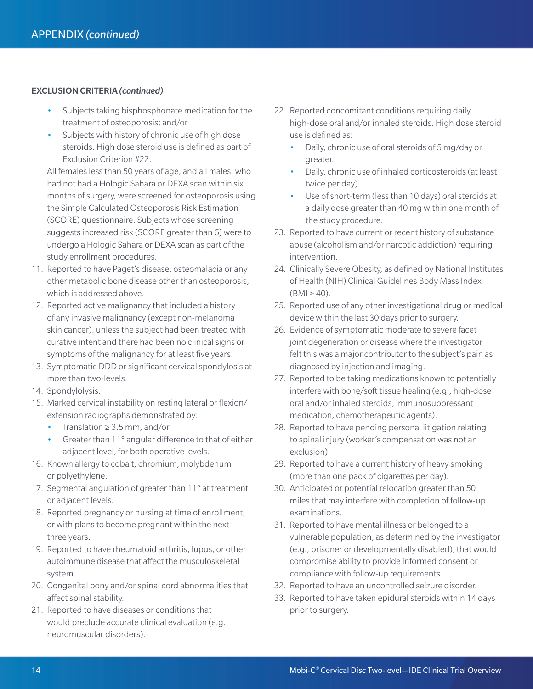## EXCLUSION CRITERIA *(continued)*

- Subjects taking bisphosphonate medication for the treatment of osteoporosis; and/or
- Subjects with history of chronic use of high dose steroids. High dose steroid use is defined as part of Exclusion Criterion #22.

All females less than 50 years of age, and all males, who had not had a Hologic Sahara or DEXA scan within six months of surgery, were screened for osteoporosis using the Simple Calculated Osteoporosis Risk Estimation (SCORE) questionnaire. Subjects whose screening suggests increased risk (SCORE greater than 6) were to undergo a Hologic Sahara or DEXA scan as part of the study enrollment procedures.

- 11. Reported to have Paget's disease, osteomalacia or any other metabolic bone disease other than osteoporosis, which is addressed above.
- 12. Reported active malignancy that included a history of any invasive malignancy (except non-melanoma skin cancer), unless the subject had been treated with curative intent and there had been no clinical signs or symptoms of the malignancy for at least five years.
- 13. Symptomatic DDD or significant cervical spondylosis at more than two-levels.
- 14. Spondylolysis.
- 15. Marked cervical instability on resting lateral or flexion/ extension radiographs demonstrated by:
	- Translation ≥ 3.5 mm, and/or
	- Greater than 11° angular difference to that of either adjacent level, for both operative levels.
- 16. Known allergy to cobalt, chromium, molybdenum or polyethylene.
- 17. Segmental angulation of greater than 11° at treatment or adjacent levels.
- 18. Reported pregnancy or nursing at time of enrollment, or with plans to become pregnant within the next three years.
- 19. Reported to have rheumatoid arthritis, lupus, or other autoimmune disease that affect the musculoskeletal system.
- 20. Congenital bony and/or spinal cord abnormalities that affect spinal stability.
- 21. Reported to have diseases or conditions that would preclude accurate clinical evaluation (e.g. neuromuscular disorders).
- 22. Reported concomitant conditions requiring daily, high-dose oral and/or inhaled steroids. High dose steroid use is defined as:
	- Daily, chronic use of oral steroids of 5 mg/day or greater.
	- Daily, chronic use of inhaled corticosteroids (at least twice per day).
	- Use of short-term (less than 10 days) oral steroids at a daily dose greater than 40 mg within one month of the study procedure.
- 23. Reported to have current or recent history of substance abuse (alcoholism and/or narcotic addiction) requiring intervention.
- 24. Clinically Severe Obesity, as defined by National Institutes of Health (NIH) Clinical Guidelines Body Mass Index  $(BMI > 40)$ .
- 25. Reported use of any other investigational drug or medical device within the last 30 days prior to surgery.
- 26. Evidence of symptomatic moderate to severe facet joint degeneration or disease where the investigator felt this was a major contributor to the subject's pain as diagnosed by injection and imaging.
- 27. Reported to be taking medications known to potentially interfere with bone/soft tissue healing (e.g., high-dose oral and/or inhaled steroids, immunosuppressant medication, chemotherapeutic agents).
- 28. Reported to have pending personal litigation relating to spinal injury (worker's compensation was not an exclusion).
- 29. Reported to have a current history of heavy smoking (more than one pack of cigarettes per day).
- 30. Anticipated or potential relocation greater than 50 miles that may interfere with completion of follow-up examinations.
- 31. Reported to have mental illness or belonged to a vulnerable population, as determined by the investigator (e.g., prisoner or developmentally disabled), that would compromise ability to provide informed consent or compliance with follow-up requirements.
- 32. Reported to have an uncontrolled seizure disorder.
- 33. Reported to have taken epidural steroids within 14 days prior to surgery.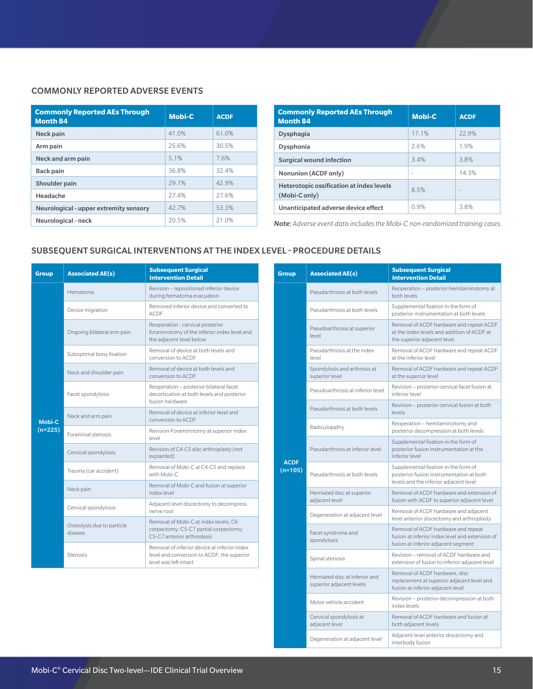## COMMONLY REPORTED ADVERSE EVENTS

| <b>Commonly Reported AEs Through</b><br><b>Month 84</b> | <b>Mobi-C</b> | <b>ACDF</b> |
|---------------------------------------------------------|---------------|-------------|
| Neck pain                                               | 41.0%         | 61.0%       |
| Arm pain                                                | 25.6%         | 30.5%       |
| Neck and arm pain                                       | 5.1%          | 7.6%        |
| <b>Back pain</b>                                        | 36.8%         | 32.4%       |
| Shoulder pain                                           | 29.1%         | 42.9%       |
| Headache                                                | 27.4%         | 27.6%       |
| Neurological - upper extremity sensory                  | 42.7%         | 53.3%       |
| Neurological - neck                                     | 20.5%         | 21.0%       |

| <b>Commonly Reported AEs Through</b><br><b>Month 84</b>          | <b>Mobi-C</b> | <b>ACDF</b> |
|------------------------------------------------------------------|---------------|-------------|
| <b>Dysphagia</b>                                                 | 17.1%         | 22.9%       |
| <b>Dysphonia</b>                                                 | 2.6%          | 1.9%        |
| <b>Surgical wound infection</b>                                  | 3.4%          | 3.8%        |
| Nonunion (ACDF only)                                             | $\sim$        | 14.3%       |
| <b>Heterotopic ossification at index levels</b><br>(Mobi-C only) | 8.5%          |             |
| Unanticipated adverse device effect                              | 0.9%          | 38%         |

Note: Adverse event data includes the Mobi-C non-randomized training cases.

## SUBSEQUENT SURGICAL INTERVENTIONS AT THE INDEX LEVEL - PROCEDURE DETAILS

| <b>Group</b>        | <b>Associated AE(s)</b>               | <b>Subsequent Surgical</b><br><b>Intervention Detail</b>                                                            |
|---------------------|---------------------------------------|---------------------------------------------------------------------------------------------------------------------|
| Mobi-C<br>$(n=225)$ | Hematoma                              | Revision - repositioned inferior device<br>during hematoma evacuation                                               |
|                     | Device migration                      | Removed inferior device and converted to<br><b>ACDE</b>                                                             |
|                     | Ongoing bilateral arm pain            | Reoperation - cervical posterior<br>foraminotomy of the inferior index level and<br>the adjacent level below        |
|                     | Suboptimal bony fixation              | Removal of device at both levels and<br>conversion to ACDE                                                          |
|                     | Neck and shoulder pain                | Removal of device at both levels and<br>conversion to ACDE                                                          |
|                     | Facet spondylosis                     | Reoperation - posterior bilateral facet<br>decortication at both levels and posterior<br>fusion hardware            |
|                     | Neck and arm pain                     | Removal of device at inferior level and<br>conversion to ACDE                                                       |
|                     | <b>Foraminal stenosis</b>             | Revision-Foraminotomy at superior index<br>level                                                                    |
|                     | Cervical spondylosis                  | Revision of C4-C5 disc arthroplasty (not<br>explanted)                                                              |
|                     | Trauma (car accident)                 | Removal of Mobi-C at C4-C5 and replace<br>with Mobi-C                                                               |
|                     | Neck pain                             | Removal of Mobi-C and fusion at superior<br>index level                                                             |
|                     | Cervical spondylosis                  | Adjacent level discectomy to decompress<br>nerve root                                                               |
|                     | Osteolysis due to particle<br>disease | Removal of Mobi-C at index levels: C6<br>corpectomy; C5-C7 partial corpectomy;<br>C5-C7 anterior arthrodesis        |
|                     | Stenosis                              | Removal of inferior device at inferior index<br>level and conversion to ACDF; the superior<br>level was left intact |

| Group                    | <b>Associated AE(s)</b>                                    | <b>Subsequent Surgical</b><br><b>Intervention Detail</b>                                                                      |
|--------------------------|------------------------------------------------------------|-------------------------------------------------------------------------------------------------------------------------------|
| <b>ACDF</b><br>$(n=105)$ | Pseudarthrosis at both levels                              | Reoperation - posterior hemilaminotomy at<br>both levels                                                                      |
|                          | Pseudarthrosis at both levels                              | Supplemental fixation in the form of<br>posterior instrumentation at both levels                                              |
|                          | Pseudoarthrosis at superior<br>level                       | Removal of ACDF hardware and repeat ACDF<br>at the index levels and addition of ACDF at<br>the superior adjacent level        |
|                          | Pseudarthrosis at the index<br>level                       | Removal of ACDF hardware and repeat ACDF<br>at the inferior level                                                             |
|                          | Spondylosis and arthrosis at<br>superior level             | Removal of ACDF hardware and repeat ACDF<br>at the superior level                                                             |
|                          | Pseudoarthrosis at inferior level                          | Revision - posterior cervical facet fusion at<br>inferior level                                                               |
|                          | Pseudarthrosis at both levels                              | Revision - posterior cervical fusion at both<br>levels                                                                        |
|                          | Radiculopathy                                              | Reoperation - hemilaminotomy and<br>posterior decompression at both levels                                                    |
|                          | Pseudarthrosis at inferior level                           | Supplemental fixation in the form of<br>posterior fusion instrumentation at the<br>inferior level                             |
|                          | Pseudarthrosis at both levels                              | Supplemental fixation in the form of<br>posterior fusion instrumentation at both<br>levels and the inferior adjacent level    |
|                          | Herniated disc at superior<br>adjacent level               | Removal of ACDF hardware and extension of<br>fusion with ACDF to superior adjacent level                                      |
|                          | Degeneration at adjacent level                             | Removal of ACDF hardware and adjacent<br>level anterior discectomy and arthroplasty                                           |
|                          | Facet syndrome and<br>spondylosis                          | Removal of ACDF hardware and repeat<br>fusion at inferior index level and extension of<br>fusion at inferior adjacent segment |
|                          | Spinal stenosis                                            | Revision - removal of ACDF hardware and<br>extension of fusion to inferior adjacent level                                     |
|                          | Herniated disc at inferior and<br>superior adjacent levels | Removal of ACDF hardware, disc<br>replacement at superior adjacent level and<br>fusion at inferior adjacent level.            |
|                          | Motor vehicle accident                                     | Revision - posterior decompression at both<br>index levels                                                                    |
|                          | Cervical spondylosis at<br>adjacent level                  | Removal of ACDF hardware and fusion at<br>both adjacent levels                                                                |
|                          | Degeneration at adjacent level                             | Adjacent level anterior discectomy and<br>interbody fusion                                                                    |